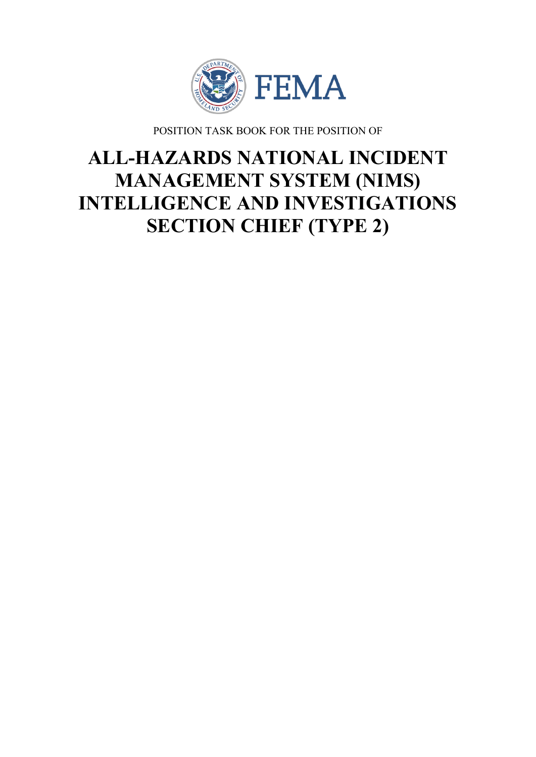

POSITION TASK BOOK FOR THE POSITION OF

# **ALL-HAZARDS NATIONAL INCIDENT MANAGEMENT SYSTEM (NIMS) INTELLIGENCE AND INVESTIGATIONS SECTION CHIEF (TYPE 2)**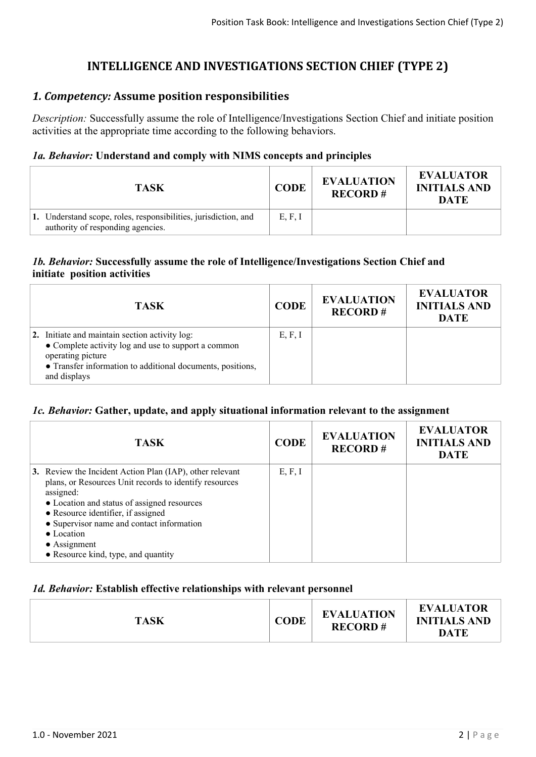## **INTELLIGENCE AND INVESTIGATIONS SECTION CHIEF (TYPE 2)**

## *1. Competency:* **Assume position responsibilities**

*Description:* Successfully assume the role of Intelligence/Investigations Section Chief and initiate position activities at the appropriate time according to the following behaviors.

## *1a. Behavior:* **Understand and comply with NIMS concepts and principles**

| TASK                                                                                                 | <b>CODE</b> | <b>EVALUATION</b><br><b>RECORD#</b> | <b>EVALUATOR</b><br><b>INITIALS AND</b><br><b>DATE</b> |
|------------------------------------------------------------------------------------------------------|-------------|-------------------------------------|--------------------------------------------------------|
| 1. Understand scope, roles, responsibilities, jurisdiction, and<br>authority of responding agencies. | E, F, I     |                                     |                                                        |

## *1b. Behavior:* **Successfully assume the role of Intelligence/Investigations Section Chief and initiate position activities**

| <b>TASK</b>                                                                                                                                                                                              | <b>CODE</b> | <b>EVALUATION</b><br><b>RECORD#</b> | <b>EVALUATOR</b><br><b>INITIALS AND</b><br><b>DATE</b> |
|----------------------------------------------------------------------------------------------------------------------------------------------------------------------------------------------------------|-------------|-------------------------------------|--------------------------------------------------------|
| 2. Initiate and maintain section activity log:<br>• Complete activity log and use to support a common<br>operating picture<br>• Transfer information to additional documents, positions,<br>and displays | E, F, I     |                                     |                                                        |

### *1c. Behavior:* **Gather, update, and apply situational information relevant to the assignment**

| <b>TASK</b>                                                                                                                                                                                                                                                                                                                                    | <b>CODE</b> | <b>EVALUATION</b><br><b>RECORD#</b> | <b>EVALUATOR</b><br><b>INITIALS AND</b><br><b>DATE</b> |
|------------------------------------------------------------------------------------------------------------------------------------------------------------------------------------------------------------------------------------------------------------------------------------------------------------------------------------------------|-------------|-------------------------------------|--------------------------------------------------------|
| 3. Review the Incident Action Plan (IAP), other relevant<br>plans, or Resources Unit records to identify resources<br>assigned:<br>• Location and status of assigned resources<br>• Resource identifier, if assigned<br>• Supervisor name and contact information<br>• Location<br>$\bullet$ Assignment<br>• Resource kind, type, and quantity | E, F, I     |                                     |                                                        |

### *1d. Behavior:* **Establish effective relationships with relevant personnel**

| <b>TASK</b> | <b>CODE</b> | <b>EVALUATION</b><br><b>RECORD#</b> | <b>EVALUATOR</b><br><b>INITIALS AND</b><br>DATE |
|-------------|-------------|-------------------------------------|-------------------------------------------------|
|-------------|-------------|-------------------------------------|-------------------------------------------------|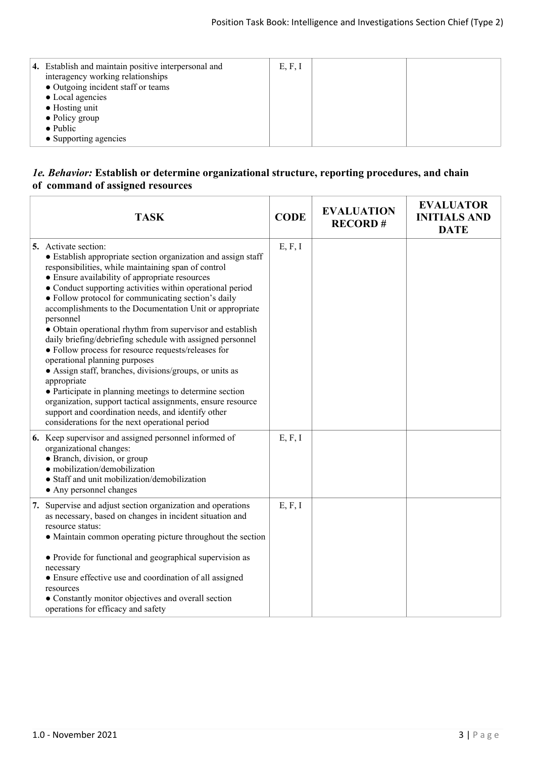| 4. Establish and maintain positive interpersonal and<br>interagency working relationships<br>• Outgoing incident staff or teams<br>• Local agencies<br>$\bullet$ Hosting unit<br>$\bullet$ Policy group<br>$\bullet$ Public<br>• Supporting agencies | E, F, I |  |  |
|------------------------------------------------------------------------------------------------------------------------------------------------------------------------------------------------------------------------------------------------------|---------|--|--|
|------------------------------------------------------------------------------------------------------------------------------------------------------------------------------------------------------------------------------------------------------|---------|--|--|

#### *1e. Behavior:* **Establish or determine organizational structure, reporting procedures, and chain of command of assigned resources**

| <b>TASK</b>                                                                                                                                                                                                                                                                                                                                                                                                                                                                                                                                                                                                                                                                                                                                                                                                                                                                                                                | <b>CODE</b> | <b>EVALUATION</b><br><b>RECORD#</b> | <b>EVALUATOR</b><br><b>INITIALS AND</b><br><b>DATE</b> |
|----------------------------------------------------------------------------------------------------------------------------------------------------------------------------------------------------------------------------------------------------------------------------------------------------------------------------------------------------------------------------------------------------------------------------------------------------------------------------------------------------------------------------------------------------------------------------------------------------------------------------------------------------------------------------------------------------------------------------------------------------------------------------------------------------------------------------------------------------------------------------------------------------------------------------|-------------|-------------------------------------|--------------------------------------------------------|
| 5. Activate section:<br>• Establish appropriate section organization and assign staff<br>responsibilities, while maintaining span of control<br>• Ensure availability of appropriate resources<br>• Conduct supporting activities within operational period<br>• Follow protocol for communicating section's daily<br>accomplishments to the Documentation Unit or appropriate<br>personnel<br>• Obtain operational rhythm from supervisor and establish<br>daily briefing/debriefing schedule with assigned personnel<br>• Follow process for resource requests/releases for<br>operational planning purposes<br>• Assign staff, branches, divisions/groups, or units as<br>appropriate<br>• Participate in planning meetings to determine section<br>organization, support tactical assignments, ensure resource<br>support and coordination needs, and identify other<br>considerations for the next operational period | E, F, I     |                                     |                                                        |
| 6. Keep supervisor and assigned personnel informed of<br>organizational changes:<br>• Branch, division, or group<br>· mobilization/demobilization<br>· Staff and unit mobilization/demobilization<br>• Any personnel changes                                                                                                                                                                                                                                                                                                                                                                                                                                                                                                                                                                                                                                                                                               | E, F, I     |                                     |                                                        |
| 7. Supervise and adjust section organization and operations<br>as necessary, based on changes in incident situation and<br>resource status:<br>• Maintain common operating picture throughout the section<br>• Provide for functional and geographical supervision as<br>necessary<br>• Ensure effective use and coordination of all assigned<br>resources<br>• Constantly monitor objectives and overall section<br>operations for efficacy and safety                                                                                                                                                                                                                                                                                                                                                                                                                                                                    | E, F, I     |                                     |                                                        |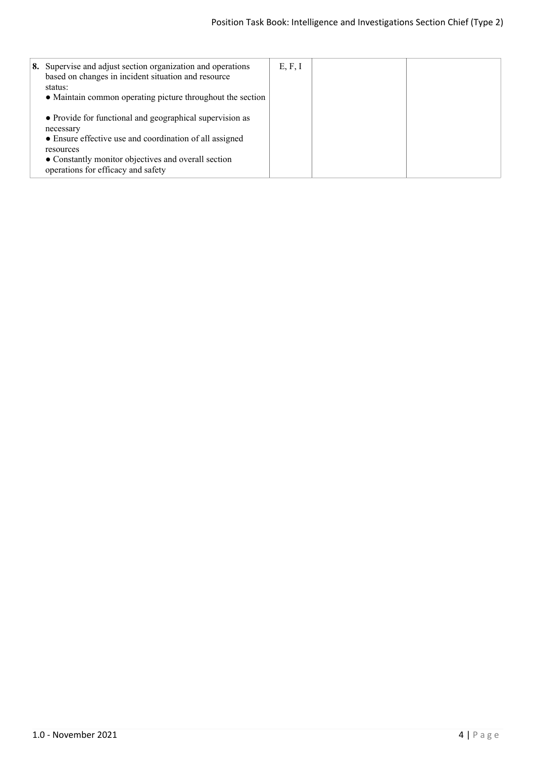| 8. Supervise and adjust section organization and operations<br>based on changes in incident situation and resource<br>status:<br>• Maintain common operating picture throughout the section                                                | E, F, I |  |
|--------------------------------------------------------------------------------------------------------------------------------------------------------------------------------------------------------------------------------------------|---------|--|
| • Provide for functional and geographical supervision as<br>necessary<br>• Ensure effective use and coordination of all assigned<br>resources<br>• Constantly monitor objectives and overall section<br>operations for efficacy and safety |         |  |
|                                                                                                                                                                                                                                            |         |  |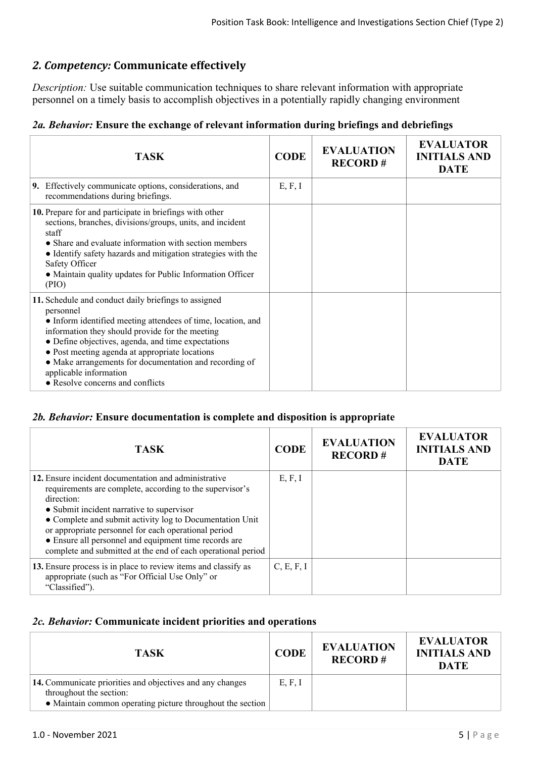## *2. Competency:* **Communicate effectively**

*Description:* Use suitable communication techniques to share relevant information with appropriate personnel on a timely basis to accomplish objectives in a potentially rapidly changing environment

## *2a. Behavior:* **Ensure the exchange of relevant information during briefings and debriefings**

| <b>TASK</b>                                                                                                                                                                                                                                                                                                                                                                                                          | <b>CODE</b> | <b>EVALUATION</b><br><b>RECORD#</b> | <b>EVALUATOR</b><br><b>INITIALS AND</b><br><b>DATE</b> |
|----------------------------------------------------------------------------------------------------------------------------------------------------------------------------------------------------------------------------------------------------------------------------------------------------------------------------------------------------------------------------------------------------------------------|-------------|-------------------------------------|--------------------------------------------------------|
| 9. Effectively communicate options, considerations, and<br>recommendations during briefings.                                                                                                                                                                                                                                                                                                                         | E, F, I     |                                     |                                                        |
| 10. Prepare for and participate in briefings with other<br>sections, branches, divisions/groups, units, and incident<br>staff<br>• Share and evaluate information with section members<br>• Identify safety hazards and mitigation strategies with the<br>Safety Officer<br>• Maintain quality updates for Public Information Officer<br>(PIO)                                                                       |             |                                     |                                                        |
| 11. Schedule and conduct daily briefings to assigned<br>personnel<br>• Inform identified meeting attendees of time, location, and<br>information they should provide for the meeting<br>• Define objectives, agenda, and time expectations<br>• Post meeting agenda at appropriate locations<br>• Make arrangements for documentation and recording of<br>applicable information<br>• Resolve concerns and conflicts |             |                                     |                                                        |

## *2b. Behavior:* **Ensure documentation is complete and disposition is appropriate**

| <b>TASK</b>                                                                                                                                                                                                                                                                                                                                                                                                              | <b>CODE</b> | <b>EVALUATION</b><br><b>RECORD#</b> | <b>EVALUATOR</b><br><b>INITIALS AND</b><br><b>DATE</b> |
|--------------------------------------------------------------------------------------------------------------------------------------------------------------------------------------------------------------------------------------------------------------------------------------------------------------------------------------------------------------------------------------------------------------------------|-------------|-------------------------------------|--------------------------------------------------------|
| 12. Ensure incident documentation and administrative<br>requirements are complete, according to the supervisor's<br>direction:<br>• Submit incident narrative to supervisor<br>• Complete and submit activity log to Documentation Unit<br>or appropriate personnel for each operational period<br>• Ensure all personnel and equipment time records are<br>complete and submitted at the end of each operational period | E, F, I     |                                     |                                                        |
| 13. Ensure process is in place to review items and classify as<br>appropriate (such as "For Official Use Only" or<br>"Classified").                                                                                                                                                                                                                                                                                      | C, E, F, I  |                                     |                                                        |

### *2c. Behavior:* **Communicate incident priorities and operations**

| <b>TASK</b>                                                                                                                                        | <b>CODE</b> | <b>EVALUATION</b><br><b>RECORD#</b> | <b>EVALUATOR</b><br><b>INITIALS AND</b><br><b>DATE</b> |
|----------------------------------------------------------------------------------------------------------------------------------------------------|-------------|-------------------------------------|--------------------------------------------------------|
| 14. Communicate priorities and objectives and any changes<br>throughout the section:<br>• Maintain common operating picture throughout the section | E, F, I     |                                     |                                                        |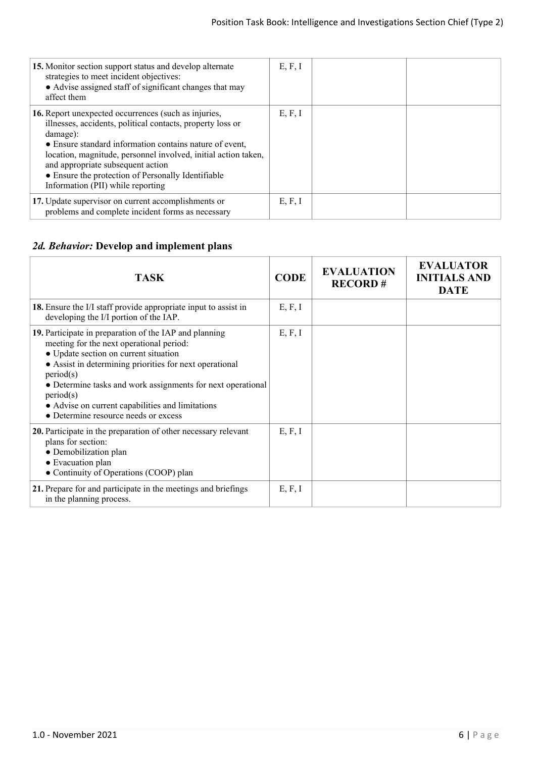| 15. Monitor section support status and develop alternate<br>strategies to meet incident objectives:<br>• Advise assigned staff of significant changes that may<br>affect them                                                                                                                                                                                                               | E, F, I |  |
|---------------------------------------------------------------------------------------------------------------------------------------------------------------------------------------------------------------------------------------------------------------------------------------------------------------------------------------------------------------------------------------------|---------|--|
| 16. Report unexpected occurrences (such as injuries,<br>illnesses, accidents, political contacts, property loss or<br>damage):<br>• Ensure standard information contains nature of event,<br>location, magnitude, personnel involved, initial action taken,<br>and appropriate subsequent action<br>• Ensure the protection of Personally Identifiable<br>Information (PII) while reporting | E, F, I |  |
| 17. Update supervisor on current accomplishments or<br>problems and complete incident forms as necessary                                                                                                                                                                                                                                                                                    | E, F, I |  |

## *2d. Behavior:* **Develop and implement plans**

| <b>TASK</b>                                                                                                                                                                                                                                                                                                                                                                                 | <b>CODE</b> | <b>EVALUATION</b><br><b>RECORD#</b> | <b>EVALUATOR</b><br><b>INITIALS AND</b><br><b>DATE</b> |
|---------------------------------------------------------------------------------------------------------------------------------------------------------------------------------------------------------------------------------------------------------------------------------------------------------------------------------------------------------------------------------------------|-------------|-------------------------------------|--------------------------------------------------------|
| <b>18.</b> Ensure the I/I staff provide appropriate input to assist in<br>developing the I/I portion of the IAP.                                                                                                                                                                                                                                                                            | E, F, I     |                                     |                                                        |
| 19. Participate in preparation of the IAP and planning<br>meeting for the next operational period:<br>• Update section on current situation<br>• Assist in determining priorities for next operational<br>period(s)<br>• Determine tasks and work assignments for next operational<br>period(s)<br>• Advise on current capabilities and limitations<br>• Determine resource needs or excess | E, F, I     |                                     |                                                        |
| 20. Participate in the preparation of other necessary relevant<br>plans for section:<br>• Demobilization plan<br>• Evacuation plan<br>• Continuity of Operations (COOP) plan                                                                                                                                                                                                                | E, F, I     |                                     |                                                        |
| 21. Prepare for and participate in the meetings and briefings<br>in the planning process.                                                                                                                                                                                                                                                                                                   | E, F, I     |                                     |                                                        |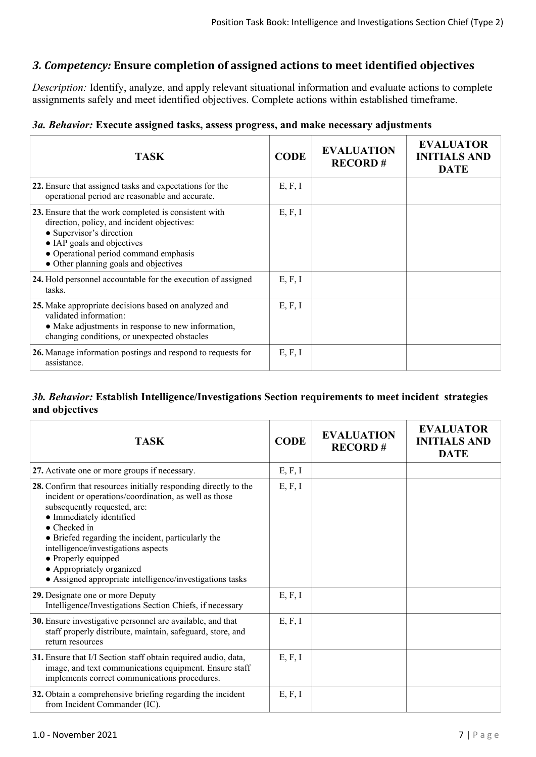## *3. Competency:* **Ensure completion of assigned actions to meet identified objectives**

*Description:* Identify, analyze, and apply relevant situational information and evaluate actions to complete assignments safely and meet identified objectives. Complete actions within established timeframe.

#### *3a. Behavior:* **Execute assigned tasks, assess progress, and make necessary adjustments**

| <b>TASK</b>                                                                                                                                                                                                                                      | <b>CODE</b> | <b>EVALUATION</b><br><b>RECORD#</b> | <b>EVALUATOR</b><br><b>INITIALS AND</b><br><b>DATE</b> |
|--------------------------------------------------------------------------------------------------------------------------------------------------------------------------------------------------------------------------------------------------|-------------|-------------------------------------|--------------------------------------------------------|
| 22. Ensure that assigned tasks and expectations for the<br>operational period are reasonable and accurate.                                                                                                                                       | E, F, I     |                                     |                                                        |
| 23. Ensure that the work completed is consistent with<br>direction, policy, and incident objectives:<br>• Supervisor's direction<br>• IAP goals and objectives<br>• Operational period command emphasis<br>• Other planning goals and objectives | E, F, I     |                                     |                                                        |
| 24. Hold personnel accountable for the execution of assigned<br>tasks.                                                                                                                                                                           | E, F, I     |                                     |                                                        |
| 25. Make appropriate decisions based on analyzed and<br>validated information:<br>• Make adjustments in response to new information,<br>changing conditions, or unexpected obstacles                                                             | E, F, I     |                                     |                                                        |
| 26. Manage information postings and respond to requests for<br>assistance.                                                                                                                                                                       | E, F, I     |                                     |                                                        |

### *3b. Behavior:* **Establish Intelligence/Investigations Section requirements to meet incident strategies and objectives**

| <b>TASK</b>                                                                                                                                                                                                                                                                                                                                                                                                       | <b>CODE</b> | <b>EVALUATION</b><br><b>RECORD#</b> | <b>EVALUATOR</b><br><b>INITIALS AND</b><br><b>DATE</b> |
|-------------------------------------------------------------------------------------------------------------------------------------------------------------------------------------------------------------------------------------------------------------------------------------------------------------------------------------------------------------------------------------------------------------------|-------------|-------------------------------------|--------------------------------------------------------|
| 27. Activate one or more groups if necessary.                                                                                                                                                                                                                                                                                                                                                                     | E, F, I     |                                     |                                                        |
| 28. Confirm that resources initially responding directly to the<br>incident or operations/coordination, as well as those<br>subsequently requested, are:<br>• Immediately identified<br>• Checked in<br>• Briefed regarding the incident, particularly the<br>intelligence/investigations aspects<br>• Properly equipped<br>• Appropriately organized<br>• Assigned appropriate intelligence/investigations tasks | E, F, I     |                                     |                                                        |
| 29. Designate one or more Deputy<br>Intelligence/Investigations Section Chiefs, if necessary                                                                                                                                                                                                                                                                                                                      | E, F, I     |                                     |                                                        |
| 30. Ensure investigative personnel are available, and that<br>staff properly distribute, maintain, safeguard, store, and<br>return resources                                                                                                                                                                                                                                                                      | E, F, I     |                                     |                                                        |
| 31. Ensure that I/I Section staff obtain required audio, data,<br>image, and text communications equipment. Ensure staff<br>implements correct communications procedures.                                                                                                                                                                                                                                         | E, F, I     |                                     |                                                        |
| 32. Obtain a comprehensive briefing regarding the incident<br>from Incident Commander (IC).                                                                                                                                                                                                                                                                                                                       | E, F, I     |                                     |                                                        |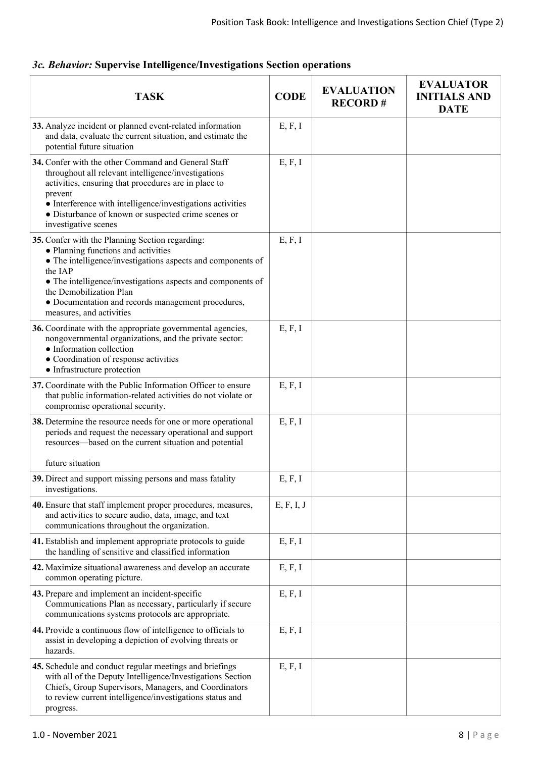| <b>TASK</b>                                                                                                                                                                                                                                                                                                                                  | <b>CODE</b> | <b>EVALUATION</b><br><b>RECORD#</b> | <b>EVALUATOR</b><br><b>INITIALS AND</b><br><b>DATE</b> |
|----------------------------------------------------------------------------------------------------------------------------------------------------------------------------------------------------------------------------------------------------------------------------------------------------------------------------------------------|-------------|-------------------------------------|--------------------------------------------------------|
| 33. Analyze incident or planned event-related information<br>and data, evaluate the current situation, and estimate the<br>potential future situation                                                                                                                                                                                        | E, F, I     |                                     |                                                        |
| 34. Confer with the other Command and General Staff<br>throughout all relevant intelligence/investigations<br>activities, ensuring that procedures are in place to<br>prevent<br>• Interference with intelligence/investigations activities<br>• Disturbance of known or suspected crime scenes or<br>investigative scenes                   | E, F, I     |                                     |                                                        |
| 35. Confer with the Planning Section regarding:<br>• Planning functions and activities<br>• The intelligence/investigations aspects and components of<br>the IAP<br>• The intelligence/investigations aspects and components of<br>the Demobilization Plan<br>• Documentation and records management procedures,<br>measures, and activities | E, F, I     |                                     |                                                        |
| 36. Coordinate with the appropriate governmental agencies,<br>nongovernmental organizations, and the private sector:<br>• Information collection<br>• Coordination of response activities<br>• Infrastructure protection                                                                                                                     | E, F, I     |                                     |                                                        |
| 37. Coordinate with the Public Information Officer to ensure<br>that public information-related activities do not violate or<br>compromise operational security.                                                                                                                                                                             | E, F, I     |                                     |                                                        |
| 38. Determine the resource needs for one or more operational<br>periods and request the necessary operational and support<br>resources—based on the current situation and potential                                                                                                                                                          | E, F, I     |                                     |                                                        |
| future situation                                                                                                                                                                                                                                                                                                                             |             |                                     |                                                        |
| 39. Direct and support missing persons and mass fatality<br>investigations.                                                                                                                                                                                                                                                                  | E, F, I     |                                     |                                                        |
| 40. Ensure that staff implement proper procedures, measures,<br>and activities to secure audio, data, image, and text<br>communications throughout the organization.                                                                                                                                                                         | E, F, I, J  |                                     |                                                        |
| 41. Establish and implement appropriate protocols to guide<br>the handling of sensitive and classified information                                                                                                                                                                                                                           | E, F, I     |                                     |                                                        |
| 42. Maximize situational awareness and develop an accurate<br>common operating picture.                                                                                                                                                                                                                                                      | E, F, I     |                                     |                                                        |
| 43. Prepare and implement an incident-specific<br>Communications Plan as necessary, particularly if secure<br>communications systems protocols are appropriate.                                                                                                                                                                              | E, F, I     |                                     |                                                        |
| 44. Provide a continuous flow of intelligence to officials to<br>assist in developing a depiction of evolving threats or<br>hazards.                                                                                                                                                                                                         | E, F, I     |                                     |                                                        |
| 45. Schedule and conduct regular meetings and briefings<br>with all of the Deputy Intelligence/Investigations Section<br>Chiefs, Group Supervisors, Managers, and Coordinators<br>to review current intelligence/investigations status and<br>progress.                                                                                      | E, F, I     |                                     |                                                        |

## *3c. Behavior:* **Supervise Intelligence/Investigations Section operations**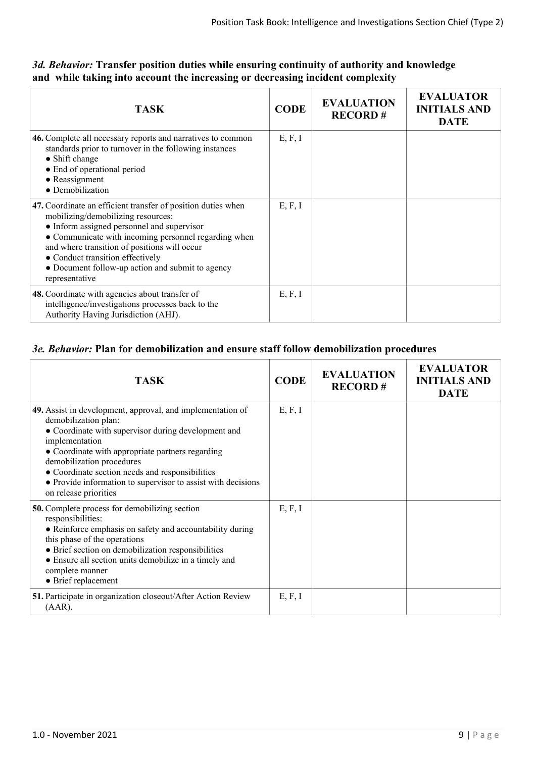| <b>TASK</b>                                                                                                                                                                                                                                                                                                                                                        | <b>CODE</b> | <b>EVALUATION</b><br><b>RECORD#</b> | <b>EVALUATOR</b><br><b>INITIALS AND</b><br><b>DATE</b> |
|--------------------------------------------------------------------------------------------------------------------------------------------------------------------------------------------------------------------------------------------------------------------------------------------------------------------------------------------------------------------|-------------|-------------------------------------|--------------------------------------------------------|
| 46. Complete all necessary reports and narratives to common<br>standards prior to turnover in the following instances<br>• Shift change<br>• End of operational period<br>$\bullet$ Reassignment<br>• Demobilization                                                                                                                                               | E, F, I     |                                     |                                                        |
| 47. Coordinate an efficient transfer of position duties when<br>mobilizing/demobilizing resources:<br>• Inform assigned personnel and supervisor<br>• Communicate with incoming personnel regarding when<br>and where transition of positions will occur<br>• Conduct transition effectively<br>• Document follow-up action and submit to agency<br>representative | E, F, I     |                                     |                                                        |
| 48. Coordinate with agencies about transfer of<br>intelligence/investigations processes back to the<br>Authority Having Jurisdiction (AHJ).                                                                                                                                                                                                                        | E, F, I     |                                     |                                                        |

## *3d. Behavior:* **Transfer position duties while ensuring continuity of authority and knowledge and while taking into account the increasing or decreasing incident complexity**

### *3e. Behavior:* **Plan for demobilization and ensure staff follow demobilization procedures**

| <b>TASK</b>                                                                                                                                                                                                                                                                                                                                                                              | <b>CODE</b> | <b>EVALUATION</b><br><b>RECORD#</b> | <b>EVALUATOR</b><br><b>INITIALS AND</b><br><b>DATE</b> |
|------------------------------------------------------------------------------------------------------------------------------------------------------------------------------------------------------------------------------------------------------------------------------------------------------------------------------------------------------------------------------------------|-------------|-------------------------------------|--------------------------------------------------------|
| 49. Assist in development, approval, and implementation of<br>demobilization plan:<br>• Coordinate with supervisor during development and<br>implementation<br>• Coordinate with appropriate partners regarding<br>demobilization procedures<br>• Coordinate section needs and responsibilities<br>• Provide information to supervisor to assist with decisions<br>on release priorities | E, F, I     |                                     |                                                        |
| <b>50.</b> Complete process for demobilizing section<br>responsibilities:<br>• Reinforce emphasis on safety and accountability during<br>this phase of the operations<br>• Brief section on demobilization responsibilities<br>• Ensure all section units demobilize in a timely and<br>complete manner<br>• Brief replacement                                                           | E, F, I     |                                     |                                                        |
| 51. Participate in organization closeout/After Action Review<br>$(AAR)$ .                                                                                                                                                                                                                                                                                                                | E, F, I     |                                     |                                                        |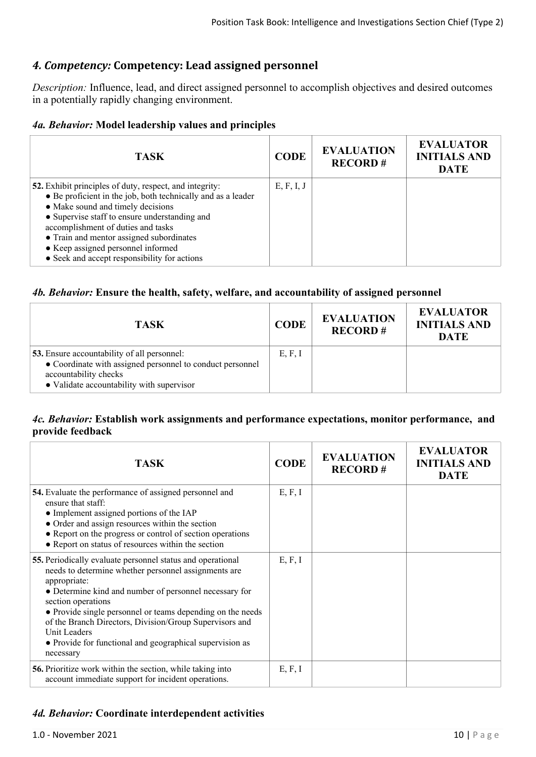## *4. Competency:* **Competency: Lead assigned personnel**

*Description:* Influence, lead, and direct assigned personnel to accomplish objectives and desired outcomes in a potentially rapidly changing environment.

## *4a. Behavior:* **Model leadership values and principles**

| <b>TASK</b>                                                                                                                                                                                                                                                                                                                                                                           | <b>CODE</b> | <b>EVALUATION</b><br><b>RECORD#</b> | <b>EVALUATOR</b><br><b>INITIALS AND</b><br><b>DATE</b> |
|---------------------------------------------------------------------------------------------------------------------------------------------------------------------------------------------------------------------------------------------------------------------------------------------------------------------------------------------------------------------------------------|-------------|-------------------------------------|--------------------------------------------------------|
| 52. Exhibit principles of duty, respect, and integrity:<br>• Be proficient in the job, both technically and as a leader<br>• Make sound and timely decisions<br>• Supervise staff to ensure understanding and<br>accomplishment of duties and tasks<br>• Train and mentor assigned subordinates<br>• Keep assigned personnel informed<br>• Seek and accept responsibility for actions | E, F, I, J  |                                     |                                                        |

#### *4b. Behavior:* **Ensure the health, safety, welfare, and accountability of assigned personnel**

| <b>TASK</b>                                                                                                                                                                           | <b>CODE</b> | <b>EVALUATION</b><br><b>RECORD#</b> | <b>EVALUATOR</b><br><b>INITIALS AND</b><br><b>DATE</b> |
|---------------------------------------------------------------------------------------------------------------------------------------------------------------------------------------|-------------|-------------------------------------|--------------------------------------------------------|
| <b>53.</b> Ensure accountability of all personnel:<br>• Coordinate with assigned personnel to conduct personnel<br>accountability checks<br>• Validate accountability with supervisor | E, F, I     |                                     |                                                        |

### *4c. Behavior:* **Establish work assignments and performance expectations, monitor performance, and provide feedback**

| <b>TASK</b>                                                                                                                                                                                                                                                                                                                                                                                                                          | <b>CODE</b> | <b>EVALUATION</b><br><b>RECORD#</b> | <b>EVALUATOR</b><br><b>INITIALS AND</b><br><b>DATE</b> |
|--------------------------------------------------------------------------------------------------------------------------------------------------------------------------------------------------------------------------------------------------------------------------------------------------------------------------------------------------------------------------------------------------------------------------------------|-------------|-------------------------------------|--------------------------------------------------------|
| <b>54.</b> Evaluate the performance of assigned personnel and<br>ensure that staff <sup>.</sup><br>• Implement assigned portions of the IAP<br>• Order and assign resources within the section<br>• Report on the progress or control of section operations<br>• Report on status of resources within the section                                                                                                                    | E, F, I     |                                     |                                                        |
| 55. Periodically evaluate personnel status and operational<br>needs to determine whether personnel assignments are<br>appropriate:<br>• Determine kind and number of personnel necessary for<br>section operations<br>• Provide single personnel or teams depending on the needs<br>of the Branch Directors, Division/Group Supervisors and<br>Unit Leaders<br>• Provide for functional and geographical supervision as<br>necessary | E, F, I     |                                     |                                                        |
| <b>56.</b> Prioritize work within the section, while taking into<br>account immediate support for incident operations.                                                                                                                                                                                                                                                                                                               | E, F, I     |                                     |                                                        |

### *4d. Behavior:* **Coordinate interdependent activities**